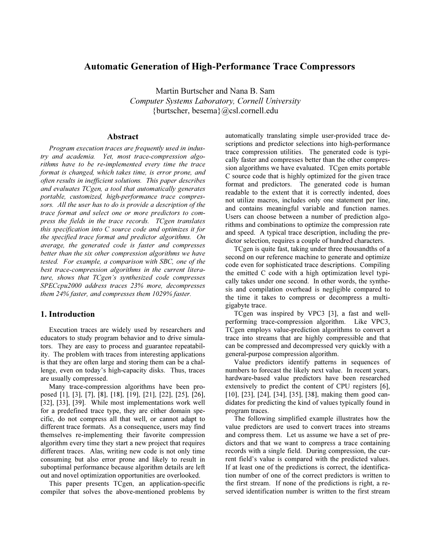# Automatic Generation of High-Performance Trace Compressors

Martin Burtscher and Nana B. Sam Computer Systems Laboratory, Cornell University {burtscher, besema}@csl.cornell.edu

#### Abstract

Program execution traces are frequently used in industry and academia. Yet, most trace-compression algorithms have to be re-implemented every time the trace format is changed, which takes time, is error prone, and often results in inefficient solutions. This paper describes and evaluates TCgen, a tool that automatically generates portable, customized, high-performance trace compressors. All the user has to do is provide a description of the trace format and select one or more predictors to compress the fields in the trace records. TCgen translates this specification into C source code and optimizes it for the specified trace format and predictor algorithms. On average, the generated code is faster and compresses better than the six other compression algorithms we have tested. For example, a comparison with SBC, one of the best trace-compression algorithms in the current literature, shows that TCgen's synthesized code compresses SPECcpu2000 address traces 23% more, decompresses them 24% faster, and compresses them 1029% faster.

## 1. Introduction

Execution traces are widely used by researchers and educators to study program behavior and to drive simulators. They are easy to process and guarantee repeatability. The problem with traces from interesting applications is that they are often large and storing them can be a challenge, even on today's high-capacity disks. Thus, traces are usually compressed.

Many trace-compression algorithms have been proposed [1], [3], [7], [8], [18], [19], [21], [22], [25], [26], [32], [33], [39]. While most implementations work well for a predefined trace type, they are either domain specific, do not compress all that well, or cannot adapt to different trace formats. As a consequence, users may find themselves re-implementing their favorite compression algorithm every time they start a new project that requires different traces. Alas, writing new code is not only time consuming but also error prone and likely to result in suboptimal performance because algorithm details are left out and novel optimization opportunities are overlooked.

This paper presents TCgen, an application-specific compiler that solves the above-mentioned problems by automatically translating simple user-provided trace descriptions and predictor selections into high-performance trace compression utilities. The generated code is typically faster and compresses better than the other compression algorithms we have evaluated. TCgen emits portable C source code that is highly optimized for the given trace format and predictors. The generated code is human readable to the extent that it is correctly indented, does not utilize macros, includes only one statement per line, and contains meaningful variable and function names. Users can choose between a number of prediction algorithms and combinations to optimize the compression rate and speed. A typical trace description, including the predictor selection, requires a couple of hundred characters.

TCgen is quite fast, taking under three thousandths of a second on our reference machine to generate and optimize code even for sophisticated trace descriptions. Compiling the emitted C code with a high optimization level typically takes under one second. In other words, the synthesis and compilation overhead is negligible compared to the time it takes to compress or decompress a multigigabyte trace.

TCgen was inspired by VPC3 [3], a fast and wellperforming trace-compression algorithm. Like VPC3, TCgen employs value-prediction algorithms to convert a trace into streams that are highly compressible and that can be compressed and decompressed very quickly with a general-purpose compression algorithm.

Value predictors identify patterns in sequences of numbers to forecast the likely next value. In recent years, hardware-based value predictors have been researched extensively to predict the content of CPU registers [6], [10], [23], [24], [34], [35], [38], making them good candidates for predicting the kind of values typically found in program traces.

The following simplified example illustrates how the value predictors are used to convert traces into streams and compress them. Let us assume we have a set of predictors and that we want to compress a trace containing records with a single field. During compression, the current field's value is compared with the predicted values. If at least one of the predictions is correct, the identification number of one of the correct predictors is written to the first stream. If none of the predictions is right, a reserved identification number is written to the first stream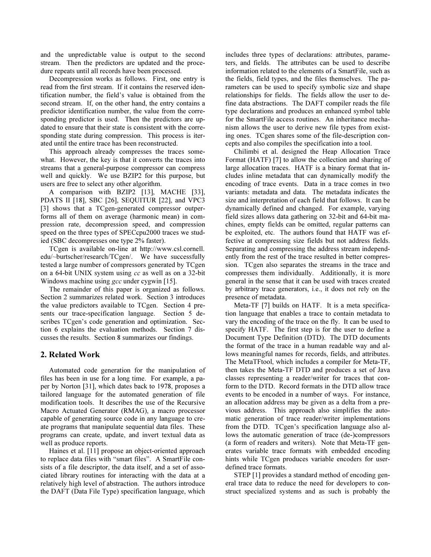and the unpredictable value is output to the second stream. Then the predictors are updated and the procedure repeats until all records have been processed.

Decompression works as follows. First, one entry is read from the first stream. If it contains the reserved identification number, the field's value is obtained from the second stream. If, on the other hand, the entry contains a predictor identification number, the value from the corresponding predictor is used. Then the predictors are updated to ensure that their state is consistent with the corresponding state during compression. This process is iterated until the entire trace has been reconstructed.

This approach already compresses the traces somewhat. However, the key is that it converts the traces into streams that a general-purpose compressor can compress well and quickly. We use BZIP2 for this purpose, but users are free to select any other algorithm.

A comparison with BZIP2 [13], MACHE [33], PDATS II [18], SBC [26], SEQUITUR [22], and VPC3 [3] shows that a TCgen-generated compressor outperforms all of them on average (harmonic mean) in compression rate, decompression speed, and compression speed on the three types of SPECcpu2000 traces we studied (SBC decompresses one type 2% faster).

TCgen is available on-line at http://www.csl.cornell. edu/~burtscher/research/TCgen/. We have successfully tested a large number of compressors generated by TCgen on a 64-bit UNIX system using cc as well as on a 32-bit Windows machine using *gcc* under cygwin [15].

The remainder of this paper is organized as follows. Section 2 summarizes related work. Section 3 introduces the value predictors available to TCgen. Section 4 presents our trace-specification language. Section 5 describes TCgen's code generation and optimization. Section 6 explains the evaluation methods. Section 7 discusses the results. Section 8 summarizes our findings.

## 2. Related Work

Automated code generation for the manipulation of files has been in use for a long time. For example, a paper by Norton [31], which dates back to 1978, proposes a tailored language for the automated generation of file modification tools. It describes the use of the Recursive Macro Actuated Generator (RMAG), a macro processor capable of generating source code in any language to create programs that manipulate sequential data files. These programs can create, update, and invert textual data as well as produce reports.

Haines et al. [11] propose an object-oriented approach to replace data files with "smart files". A SmartFile consists of a file descriptor, the data itself, and a set of associated library routines for interacting with the data at a relatively high level of abstraction. The authors introduce the DAFT (Data File Type) specification language, which

includes three types of declarations: attributes, parameters, and fields. The attributes can be used to describe information related to the elements of a SmartFile, such as the fields, field types, and the files themselves. The parameters can be used to specify symbolic size and shape relationships for fields. The fields allow the user to define data abstractions. The DAFT compiler reads the file type declarations and produces an enhanced symbol table for the SmartFile access routines. An inheritance mechanism allows the user to derive new file types from existing ones. TCgen shares some of the file-description concepts and also compiles the specification into a tool.

Chilimbi et al. designed the Heap Allocation Trace Format (HATF) [7] to allow the collection and sharing of large allocation traces. HATF is a binary format that includes inline metadata that can dynamically modify the encoding of trace events. Data in a trace comes in two variants: metadata and data. The metadata indicates the size and interpretation of each field that follows. It can be dynamically defined and changed. For example, varying field sizes allows data gathering on 32-bit and 64-bit machines, empty fields can be omitted, regular patterns can be exploited, etc. The authors found that HATF was effective at compressing size fields but not address fields. Separating and compressing the address stream independently from the rest of the trace resulted in better compression. TCgen also separates the streams in the trace and compresses them individually. Additionally, it is more general in the sense that it can be used with traces created by arbitrary trace generators, i.e., it does not rely on the presence of metadata.

Meta-TF [7] builds on HATF. It is a meta specification language that enables a trace to contain metadata to vary the encoding of the trace on the fly. It can be used to specify HATF. The first step is for the user to define a Document Type Definition (DTD). The DTD documents the format of the trace in a human readable way and allows meaningful names for records, fields, and attributes. The MetaTFtool, which includes a compiler for Meta-TF, then takes the Meta-TF DTD and produces a set of Java classes representing a reader/writer for traces that conform to the DTD. Record formats in the DTD allow trace events to be encoded in a number of ways. For instance, an allocation address may be given as a delta from a previous address. This approach also simplifies the automatic generation of trace reader/writer implementations from the DTD. TCgen's specification language also allows the automatic generation of trace (de-)compressors (a form of readers and writers). Note that Meta-TF generates variable trace formats with embedded encoding hints while TCgen produces variable encoders for userdefined trace formats.

STEP [1] provides a standard method of encoding general trace data to reduce the need for developers to construct specialized systems and as such is probably the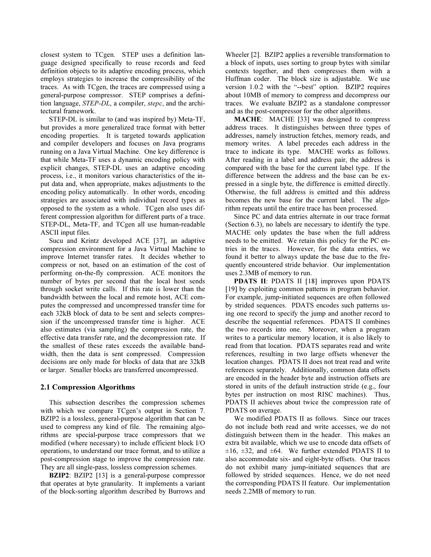closest system to TCgen. STEP uses a definition language designed specifically to reuse records and feed definition objects to its adaptive encoding process, which employs strategies to increase the compressibility of the traces. As with TCgen, the traces are compressed using a general-purpose compressor. STEP comprises a definition language, STEP-DL, a compiler, stepc, and the architectural framework.

STEP-DL is similar to (and was inspired by) Meta-TF, but provides a more generalized trace format with better encoding properties. It is targeted towards application and compiler developers and focuses on Java programs running on a Java Virtual Machine. One key difference is that while Meta-TF uses a dynamic encoding policy with explicit changes, STEP-DL uses an adaptive encoding process, i.e., it monitors various characteristics of the input data and, when appropriate, makes adjustments to the encoding policy automatically. In other words, encoding strategies are associated with individual record types as opposed to the system as a whole. TCgen also uses different compression algorithm for different parts of a trace. STEP-DL, Meta-TF, and TCgen all use human-readable ASCII input files.

Sucu and Krintz developed ACE [37], an adaptive compression environment for a Java Virtual Machine to improve Internet transfer rates. It decides whether to compress or not, based on an estimation of the cost of performing on-the-fly compression. ACE monitors the number of bytes per second that the local host sends through socket write calls. If this rate is lower than the bandwidth between the local and remote host, ACE computes the compressed and uncompressed transfer time for each 32kB block of data to be sent and selects compression if the uncompressed transfer time is higher. ACE also estimates (via sampling) the compression rate, the effective data transfer rate, and the decompression rate. If the smallest of these rates exceeds the available bandwidth, then the data is sent compressed. Compression decisions are only made for blocks of data that are 32kB or larger. Smaller blocks are transferred uncompressed.

## $\mathbf{r}$  and  $\mathbf{s}$

This subsection describes the compression schemes with which we compare TCgen's output in Section 7. BZIP2 is a lossless, general-purpose algorithm that can be used to compress any kind of file. The remaining algorithms are special-purpose trace compressors that we modified (where necessary) to include efficient block I/O operations, to understand our trace format, and to utilize a post-compression stage to improve the compression rate. They are all single-pass, lossless compression schemes.

**BZIP2**: BZIP2 [13] is a general-purpose compressor that operates at byte granularity. It implements a variant of the block-sorting algorithm described by Burrows and

Wheeler [2]. BZIP2 applies a reversible transformation to a block of inputs, uses sorting to group bytes with similar contexts together, and then compresses them with a Huffman coder. The block size is adjustable. We use version 1.0.2 with the "--best" option. BZIP2 requires about 10MB of memory to compress and decompress our traces. We evaluate BZIP2 as a standalone compressor and as the post-compressor for the other algorithms.

MACHE: MACHE [33] was designed to compress address traces. It distinguishes between three types of addresses, namely instruction fetches, memory reads, and memory writes. A label precedes each address in the trace to indicate its type. MACHE works as follows. After reading in a label and address pair, the address is compared with the base for the current label type. If the difference between the address and the base can be expressed in a single byte, the difference is emitted directly. Otherwise, the full address is emitted and this address becomes the new base for the current label. The algorithm repeats until the entire trace has been processed.

Since PC and data entries alternate in our trace format (Section 6.3), no labels are necessary to identify the type. MACHE only updates the base when the full address needs to be emitted. We retain this policy for the PC entries in the traces. However, for the data entries, we found it better to always update the base due to the frequently encountered stride behavior. Our implementation uses 2.3MB of memory to run.

PDATS II: PDATS II [18] improves upon PDATS [19] by exploiting common patterns in program behavior. For example, jump-initiated sequences are often followed by strided sequences. PDATS encodes such patterns using one record to specify the jump and another record to describe the sequential references. PDATS II combines the two records into one. Moreover, when a program writes to a particular memory location, it is also likely to read from that location. PDATS separates read and write references, resulting in two large offsets whenever the location changes. PDATS II does not treat read and write references separately. Additionally, common data offsets are encoded in the header byte and instruction offsets are stored in units of the default instruction stride (e.g., four bytes per instruction on most RISC machines). Thus, PDATS II achieves about twice the compression rate of PDATS on average.

We modified PDATS II as follows. Since our traces do not include both read and write accesses, we do not distinguish between them in the header. This makes an extra bit available, which we use to encode data offsets of  $\pm 16$ ,  $\pm 32$ , and  $\pm 64$ . We further extended PDATS II to also accommodate six- and eight-byte offsets. Our traces do not exhibit many jump-initiated sequences that are followed by strided sequences. Hence, we do not need the corresponding PDATS II feature. Our implementation needs 2.2MB of memory to run.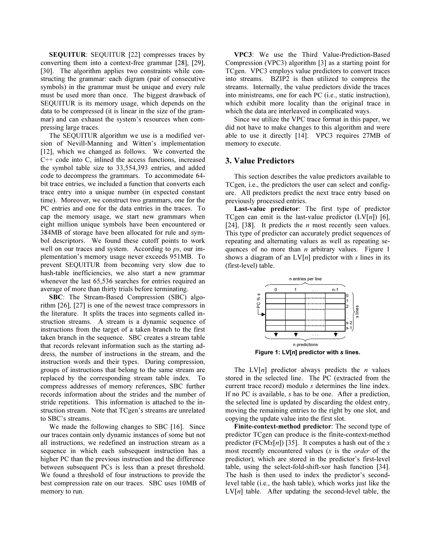SEQUITUR: SEQUITUR [22] compresses traces by converting them into a context-free grammar [28], [29], [30]. The algorithm applies two constraints while constructing the grammar: each digram (pair of consecutive symbols) in the grammar must be unique and every rule must be used more than once. The biggest drawback of SEQUITUR is its memory usage, which depends on the data to be compressed (it is linear in the size of the grammar) and can exhaust the system's resources when compressing large traces.

The SEQUITUR algorithm we use is a modified version of Nevill-Manning and Witten's implementation [12], which we changed as follows. We converted the C++ code into C, inlined the access functions, increased the symbol table size to 33,554,393 entries, and added code to decompress the grammars. To accommodate 64 bit trace entries, we included a function that converts each trace entry into a unique number (in expected constant time). Moreover, we construct two grammars, one for the PC entries and one for the data entries in the traces. To cap the memory usage, we start new grammars when eight million unique symbols have been encountered or 384MB of storage have been allocated for rule and symbol descriptors. We found these cutoff points to work well on our traces and system. According to ps, our implementation's memory usage never exceeds 951MB. To prevent SEQUITUR from becoming very slow due to hash-table inefficiencies, we also start a new grammar whenever the last 65,536 searches for entries required an average of more than thirty trials before terminating.

SBC: The Stream-Based Compression (SBC) algorithm [26], [27] is one of the newest trace compressors in the literature. It splits the traces into segments called instruction streams. A stream is a dynamic sequence of instructions from the target of a taken branch to the first taken branch in the sequence. SBC creates a stream table that records relevant information such as the starting address, the number of instructions in the stream, and the instruction words and their types. During compression, groups of instructions that belong to the same stream are replaced by the corresponding stream table index. To compress addresses of memory references, SBC further records information about the strides and the number of stride repetitions. This information is attached to the instruction stream. Note that TCgen's streams are unrelated to SBC's streams.

We made the following changes to SBC [16]. Since our traces contain only dynamic instances of some but not all instructions, we redefined an instruction stream as a sequence in which each subsequent instruction has a higher PC than the previous instruction and the difference between subsequent PCs is less than a preset threshold. We found a threshold of four instructions to provide the best compression rate on our traces. SBC uses 10MB of memory to run.

VPC3: We use the Third Value-Prediction-Based Compression (VPC3) algorithm [3] as a starting point for TCgen. VPC3 employs value predictors to convert traces into streams. BZIP2 is then utilized to compress the streams. Internally, the value predictors divide the traces into ministreams, one for each PC (i.e., static instruction), which exhibit more locality than the original trace in which the data are interleaved in complicated ways.

Since we utilize the VPC trace format in this paper, we did not have to make changes to this algorithm and were able to use it directly [14]. VPC3 requires 27MB of memory to execute.

## 3. Value Predictors

This section describes the value predictors available to TCgen, i.e., the predictors the user can select and configure. All predictors predict the next trace entry based on previously processed entries.

Last-value predictor: The first type of predictor TCgen can emit is the last-value predictor  $(LV[n])$  [6], [24], [38]. It predicts the *n* most recently seen values. This type of predictor can accurately predict sequences of repeating and alternating values as well as repeating sequences of no more than  $n$  arbitrary values. Figure 1 shows a diagram of an  $LV[n]$  predictor with s lines in its (first-level) table.



Figure 1:  $LV[n]$  predictor with  $s$  lines.

The  $LV[n]$  predictor always predicts the *n* values stored in the selected line. The PC (extracted from the current trace record) modulo s determines the line index. If no PC is available, s has to be one. After a prediction, the selected line is updated by discarding the oldest entry, moving the remaining entries to the right by one slot, and copying the update value into the first slot.

Finite-context-method predictor: The second type of predictor TCgen can produce is the finite-context-method predictor (FCMx[n]) [35]. It computes a hash out of the x most recently encountered values  $(x$  is the *order* of the predictor), which are stored in the predictor's first-level table, using the select-fold-shift-xor hash function [34]. The hash is then used to index the predictor's secondlevel table (i.e., the hash table), which works just like the  $LV[n]$  table. After updating the second-level table, the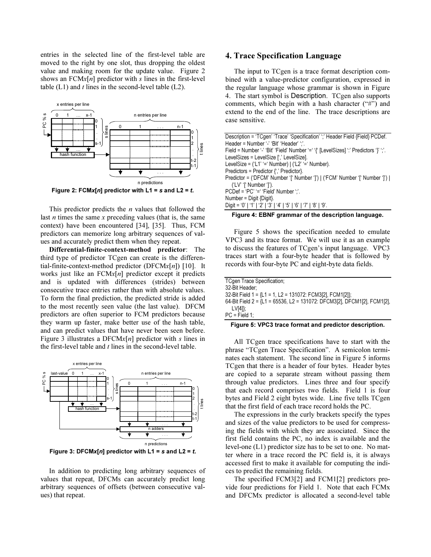entries in the selected line of the first-level table are moved to the right by one slot, thus dropping the oldest value and making room for the update value. Figure 2 shows an  $FCMx[n]$  predictor with s lines in the first-level table  $(L1)$  and t lines in the second-level table  $(L2)$ .



Figure 2: FCMx[n] predictor with L1 = s and L2 = t.

This predictor predicts the  $n$  values that followed the last  $n$  times the same  $x$  preceding values (that is, the same context) have been encountered [34], [35]. Thus, FCM predictors can memorize long arbitrary sequences of values and accurately predict them when they repeat.

Differential-finite-context-method predictor: The third type of predictor TCgen can create is the differential-finite-context-method predictor ( $DFCMx[n]$ ) [10]. It works just like an  $FCMx[n]$  predictor except it predicts and is updated with differences (strides) between consecutive trace entries rather than with absolute values. To form the final prediction, the predicted stride is added to the most recently seen value (the last value). DFCM predictors are often superior to FCM predictors because they warm up faster, make better use of the hash table, and can predict values that have never been seen before. Figure 3 illustrates a DFCM $x[n]$  predictor with s lines in the first-level table and  $t$  lines in the second-level table.



Figure 3: DFCMx[n] predictor with  $L1 = s$  and  $L2 = t$ .

In addition to predicting long arbitrary sequences of values that repeat, DFCMs can accurately predict long arbitrary sequences of offsets (between consecutive values) that repeat.

## 4. Trace Specification Language

The input to TCgen is a trace format description combined with a value-predictor configuration, expressed in the regular language whose grammar is shown in Figure 4. The start symbol is Description. TCgen also supports comments, which begin with a hash character ("#") and extend to the end of the line. The trace descriptions are case sensitive.

| Description = 'TCgen' 'Trace' 'Specification' ';' Header Field {Field} PCDef.        |
|--------------------------------------------------------------------------------------|
| Header = Number '-' 'Bit' 'Header' ':'.                                              |
| Field = Number '-' 'Bit' 'Field' Number '=' '{' [LevelSizes] ':' Predictors '}' ';'. |
| LevelSizes = LevelSize [',' LevelSize].                                              |
| LevelSize = ('L1' '=' Number)   ('L2' '=' Number).                                   |
| Predictors = Predictor {',' Predictor}.                                              |
| Predictor = ('DFCM' Number '[' Number ']')   ('FCM' Number '[' Number ']')           |
| ('LV' '[' Number ']').                                                               |
| PCDef = 'PC' '=' 'Field' Number ';'.                                                 |
| Number = Digit {Digit}.                                                              |
| Digit = '0'   '1'   '2'   '3'   '4'   '5'   '6'   '7'   '8'   '9'.                   |
|                                                                                      |

Figure 4: EBNF grammar of the description language.

Figure 5 shows the specification needed to emulate VPC3 and its trace format. We will use it as an example to discuss the features of TCgen's input language. VPC3 traces start with a four-byte header that is followed by records with four-byte PC and eight-byte data fields.

| <b>TCgen Trace Specification:</b>                                       |
|-------------------------------------------------------------------------|
| 32-Bit Header;                                                          |
| 32-Bit Field 1 = {L1 = 1, L2 = 131072: FCM3[2], FCM1[2]};               |
| 64-Bit Field 2 = {L1 = 65536, L2 = 131072: DFCM3[2], DFCM1[2], FCM1[2], |
| $LV[4]$ :                                                               |
| $PC = Field 1$ :                                                        |

#### Figure 5: VPC3 trace format and predictor description.

All TCgen trace specifications have to start with the phrase "TCgen Trace Specification". A semicolon terminates each statement. The second line in Figure 5 informs TCgen that there is a header of four bytes. Header bytes are copied to a separate stream without passing them through value predictors. Lines three and four specify that each record comprises two fields. Field 1 is four bytes and Field 2 eight bytes wide. Line five tells TCgen that the first field of each trace record holds the PC.

The expressions in the curly brackets specify the types and sizes of the value predictors to be used for compressing the fields with which they are associated. Since the first field contains the PC, no index is available and the level-one (L1) predictor size has to be set to one. No matter where in a trace record the PC field is, it is always accessed first to make it available for computing the indices to predict the remaining fields.

The specified FCM3[2] and FCM1[2] predictors provide four predictions for Field 1. Note that each FCMx and DFCMx predictor is allocated a second-level table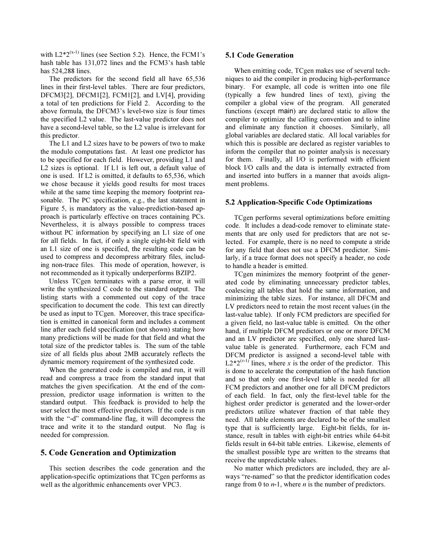with  $L2*2^{(x-1)}$  lines (see Section 5.2). Hence, the FCM1's hash table has 131,072 lines and the FCM3's hash table has 524,288 lines.

The predictors for the second field all have 65,536 lines in their first-level tables. There are four predictors, DFCM3[2], DFCM1[2], FCM1[2], and LV[4], providing a total of ten predictions for Field 2. According to the above formula, the DFCM3's level-two size is four times the specified L2 value. The last-value predictor does not have a second-level table, so the L2 value is irrelevant for this predictor.

The L1 and L2 sizes have to be powers of two to make the modulo computations fast. At least one predictor has to be specified for each field. However, providing L1 and L2 sizes is optional. If L1 is left out, a default value of one is used. If L2 is omitted, it defaults to 65,536, which we chose because it yields good results for most traces while at the same time keeping the memory footprint reasonable. The PC specification, e.g., the last statement in Figure 5, is mandatory as the value-prediction-based approach is particularly effective on traces containing PCs. Nevertheless, it is always possible to compress traces without PC information by specifying an L1 size of one for all fields. In fact, if only a single eight-bit field with an L1 size of one is specified, the resulting code can be used to compress and decompress arbitrary files, including non-trace files. This mode of operation, however, is not recommended as it typically underperforms BZIP2.

Unless TCgen terminates with a parse error, it will write the synthesized C code to the standard output. The listing starts with a commented out copy of the trace specification to document the code. This text can directly be used as input to TCgen. Moreover, this trace specification is emitted in canonical form and includes a comment line after each field specification (not shown) stating how many predictions will be made for that field and what the total size of the predictor tables is. The sum of the table size of all fields plus about 2MB accurately reflects the dynamic memory requirement of the synthesized code.

When the generated code is compiled and run, it will read and compress a trace from the standard input that matches the given specification. At the end of the compression, predictor usage information is written to the standard output. This feedback is provided to help the user select the most effective predictors. If the code is run with the "-d" command-line flag, it will decompress the trace and write it to the standard output. No flag is needed for compression.

## 5. Code Generation and Optimization

This section describes the code generation and the application-specific optimizations that TCgen performs as well as the algorithmic enhancements over VPC3.

## 5.1 Code Generation

When emitting code, TCgen makes use of several techniques to aid the compiler in producing high-performance binary. For example, all code is written into one file (typically a few hundred lines of text), giving the compiler a global view of the program. All generated functions (except main) are declared static to allow the compiler to optimize the calling convention and to inline and eliminate any function it chooses. Similarly, all global variables are declared static. All local variables for which this is possible are declared as register variables to inform the compiler that no pointer analysis is necessary for them. Finally, all I/O is performed with efficient block I/O calls and the data is internally extracted from and inserted into buffers in a manner that avoids alignment problems.

## 5.2 Application-Specific Code Optimizations

TCgen performs several optimizations before emitting code. It includes a dead-code remover to eliminate statements that are only used for predictors that are not selected. For example, there is no need to compute a stride for any field that does not use a DFCM predictor. Similarly, if a trace format does not specify a header, no code to handle a header is emitted.

TCgen minimizes the memory footprint of the generated code by eliminating unnecessary predictor tables, coalescing all tables that hold the same information, and minimizing the table sizes. For instance, all DFCM and LV predictors need to retain the most recent values (in the last-value table). If only FCM predictors are specified for a given field, no last-value table is emitted. On the other hand, if multiple DFCM predictors or one or more DFCM and an LV predictor are specified, only one shared lastvalue table is generated. Furthermore, each FCM and DFCM predictor is assigned a second-level table with  $L2*2^{(x-1)}$  lines, where x is the order of the predictor. This is done to accelerate the computation of the hash function and so that only one first-level table is needed for all FCM predictors and another one for all DFCM predictors of each field. In fact, only the first-level table for the highest order predictor is generated and the lower-order predictors utilize whatever fraction of that table they need. All table elements are declared to be of the smallest type that is sufficiently large. Eight-bit fields, for instance, result in tables with eight-bit entries while 64-bit fields result in 64-bit table entries. Likewise, elements of the smallest possible type are written to the streams that receive the unpredictable values.

No matter which predictors are included, they are always "re-named" so that the predictor identification codes range from 0 to  $n-1$ , where *n* is the number of predictors.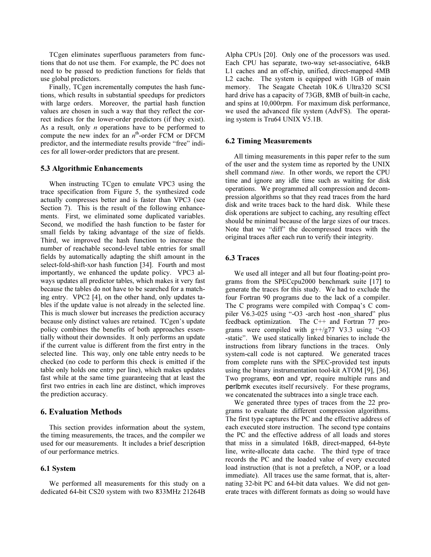TCgen eliminates superfluous parameters from functions that do not use them. For example, the PC does not need to be passed to prediction functions for fields that use global predictors.

Finally, TCgen incrementally computes the hash functions, which results in substantial speedups for predictors with large orders. Moreover, the partial hash function values are chosen in such a way that they reflect the correct indices for the lower-order predictors (if they exist). As a result, only  $n$  operations have to be performed to compute the new index for an  $n^{\text{th}}$ -order FCM or DFCM predictor, and the intermediate results provide "free" indices for all lower-order predictors that are present.

#### 5.3 Algorithmic Enhancements

When instructing TCgen to emulate VPC3 using the trace specification from Figure 5, the synthesized code actually compresses better and is faster than VPC3 (see Section 7). This is the result of the following enhancements. First, we eliminated some duplicated variables. Second, we modified the hash function to be faster for small fields by taking advantage of the size of fields. Third, we improved the hash function to increase the number of reachable second-level table entries for small fields by automatically adapting the shift amount in the select-fold-shift-xor hash function [34]. Fourth and most importantly, we enhanced the update policy. VPC3 always updates all predictor tables, which makes it very fast because the tables do not have to be searched for a matching entry. VPC2 [4], on the other hand, only updates tables if the update value is not already in the selected line. This is much slower but increases the prediction accuracy because only distinct values are retained. TCgen's update policy combines the benefits of both approaches essentially without their downsides. It only performs an update if the current value is different from the first entry in the selected line. This way, only one table entry needs to be checked (no code to perform this check is emitted if the table only holds one entry per line), which makes updates fast while at the same time guaranteeing that at least the first two entries in each line are distinct, which improves the prediction accuracy.

## 6. Evaluation Methods

This section provides information about the system, the timing measurements, the traces, and the compiler we used for our measurements. It includes a brief description of our performance metrics.

## 6.1 System

We performed all measurements for this study on a dedicated 64-bit CS20 system with two 833MHz 21264B Alpha CPUs [20]. Only one of the processors was used. Each CPU has separate, two-way set-associative, 64kB L1 caches and an off-chip, unified, direct-mapped 4MB L2 cache. The system is equipped with 1GB of main memory. The Seagate Cheetah 10K.6 Ultra320 SCSI hard drive has a capacity of 73GB, 8MB of built-in cache, and spins at 10,000rpm. For maximum disk performance, we used the advanced file system (AdvFS). The operating system is Tru64 UNIX V5.1B.

#### 6.2 Timing Measurements

All timing measurements in this paper refer to the sum of the user and the system time as reported by the UNIX shell command time. In other words, we report the CPU time and ignore any idle time such as waiting for disk operations. We programmed all compression and decompression algorithms so that they read traces from the hard disk and write traces back to the hard disk. While these disk operations are subject to caching, any resulting effect should be minimal because of the large sizes of our traces. Note that we "diff" the decompressed traces with the original traces after each run to verify their integrity.

#### 6.3 Traces

We used all integer and all but four floating-point programs from the SPECcpu2000 benchmark suite [17] to generate the traces for this study. We had to exclude the four Fortran 90 programs due to the lack of a compiler. The C programs were compiled with Compaq's C compiler V6.3-025 using "-O3 -arch host -non shared" plus feedback optimization. The C++ and Fortran 77 programs were compiled with  $g$ ++/g77 V3.3 using "-O3 -static". We used statically linked binaries to include the instructions from library functions in the traces. Only system-call code is not captured. We generated traces from complete runs with the SPEC-provided test inputs using the binary instrumentation tool-kit ATOM [9], [36]. Two programs, eon and vpr, require multiple runs and perlbmk executes itself recursively. For these programs, we concatenated the subtraces into a single trace each.

We generated three types of traces from the 22 programs to evaluate the different compression algorithms. The first type captures the PC and the effective address of each executed store instruction. The second type contains the PC and the effective address of all loads and stores that miss in a simulated 16kB, direct-mapped, 64-byte line, write-allocate data cache. The third type of trace records the PC and the loaded value of every executed load instruction (that is not a prefetch, a NOP, or a load immediate). All traces use the same format, that is, alternating 32-bit PC and 64-bit data values. We did not generate traces with different formats as doing so would have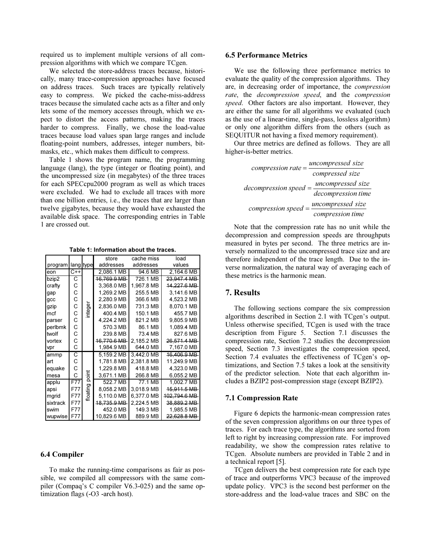required us to implement multiple versions of all compression algorithms with which we compare TCgen.

We selected the store-address traces because, historically, many trace-compression approaches have focused on address traces. Such traces are typically relatively easy to compress. We picked the cache-miss-address traces because the simulated cache acts as a filter and only lets some of the memory accesses through, which we expect to distort the access patterns, making the traces harder to compress. Finally, we chose the load-value traces because load values span large ranges and include floating-point numbers, addresses, integer numbers, bitmasks, etc., which makes them difficult to compress.

Table 1 shows the program name, the programming language (lang), the type (integer or floating point), and the uncompressed size (in megabytes) of the three traces for each SPECcpu2000 program as well as which traces were excluded. We had to exclude all traces with more than one billion entries, i.e., the traces that are larger than twelve gigabytes, because they would have exhausted the available disk space. The corresponding entries in Table 1 are crossed out.

Table 1: Information about the traces.

|          |           |          | store       | cache miss | load         |  |
|----------|-----------|----------|-------------|------------|--------------|--|
| program  | lang type |          | addresses   | addresses  | values       |  |
| eon      | $C++$     |          | 2,086.1 MB  | 94.6 MB    | 2,164.6 MB   |  |
| bzip2    | С         |          | 16,769.9 MB | 726.1 MB   | 23,947.4 MB  |  |
| crafty   | С         |          | 3,368.0 MB  | 1,967.8 MB | 14.227.6 MB  |  |
| gap      | C         |          | 1,269.2 MB  | 255.5 MB   | 3,141.6 MB   |  |
| gcc      | С         |          | 2,280.9 MB  | 366.6 MB   | 4,523.2 MB   |  |
| gzip     | С         | integer  | 2,836.0 MB  | 731.3 MB   | 8,070.1 MB   |  |
| mcf      | C         |          | 400.4 MB    | 150.1 MB   | 455.7 MB     |  |
| parser   | Ć         |          | 4,224.2 MB  | 821.2 MB   | 9,805.9 MB   |  |
| perlbmk  | Ć         |          | 570.3 MB    | 86.1 MB    | 1.089.4 MB   |  |
| twolf    | C         |          | 239.8 MB    | 73.4 MB    | 827.6 MB     |  |
| vortex   | C         |          | 16,770.6 MB | 2,185.2 MB | 26,571.4 MB  |  |
| vpr      | Ċ         |          | 1,984.9 MB  | 644.0 MB   | 7,167.0 MB   |  |
| ammp     | С         |          | 5,159.2 MB  | 3,442.0 MB | 16,406.9 MB  |  |
| art      | С         |          | 1,781.8 MB  | 2,381.8 MB | 11,249.9 MB  |  |
| equake   | С         |          | 1,229.8 MB  | 418.8 MB   | 4,323.0 MB   |  |
| mesa     | C         | point    | 3,671.1 MB  | 266.8 MB   | 6,055.2 MB   |  |
| applu    | F77       |          | 522.7 MB    | 77.1 MB    | 1,002.7 MB   |  |
| apsi     | F77       | floating | 8.058.2 MB  | 3,018.9 MB | 15,911.5 MB  |  |
| marid    | F77       |          | 5,110.0 MB  | 6.377.0 MB | 102,794.6 MB |  |
| sixtrack | F77       |          | 18,735.9 MB | 2,224.5 MB | 38,889.2 MB  |  |
| swim     | F77       |          | 452.0 MB    | 149.3 MB   | 1,985.5 MB   |  |
| wupwise  | F77       |          | 10,829.6 MB | 889.9 MB   | 22,628.8 MB  |  |

#### 6.4 Compiler

To make the running-time comparisons as fair as possible, we compiled all compressors with the same compiler (Compaq's C compiler V6.3-025) and the same optimization flags (-O3 -arch host).

#### 6.5 Performance Metrics

We use the following three performance metrics to evaluate the quality of the compression algorithms. They are, in decreasing order of importance, the compression rate, the decompression speed, and the compression speed. Other factors are also important. However, they are either the same for all algorithms we evaluated (such as the use of a linear-time, single-pass, lossless algorithm) or only one algorithm differs from the others (such as SEQUITUR not having a fixed memory requirement).

Our three metrics are defined as follows. They are all higher-is-better metrics.

| $compression rate =$    | uncompressed size  |  |  |  |
|-------------------------|--------------------|--|--|--|
|                         | compressed size    |  |  |  |
| $decompression speed =$ | uncompressed size  |  |  |  |
|                         | decompression time |  |  |  |
| $compression speed =$   | uncompressed size  |  |  |  |
|                         | compression time   |  |  |  |

Note that the compression rate has no unit while the decompression and compression speeds are throughputs measured in bytes per second. The three metrics are inversely normalized to the uncompressed trace size and are therefore independent of the trace length. Due to the inverse normalization, the natural way of averaging each of these metrics is the harmonic mean.

## 7. Results

The following sections compare the six compression algorithms described in Section 2.1 with TCgen's output. Unless otherwise specified, TCgen is used with the trace description from Figure 5. Section 7.1 discusses the compression rate, Section 7.2 studies the decompression speed, Section 7.3 investigates the compression speed, Section 7.4 evaluates the effectiveness of TCgen's optimizations, and Section 7.5 takes a look at the sensitivity of the predictor selection. Note that each algorithm includes a BZIP2 post-compression stage (except BZIP2).

#### 7.1 Compression Rate

Figure 6 depicts the harmonic-mean compression rates of the seven compression algorithms on our three types of traces. For each trace type, the algorithms are sorted from left to right by increasing compression rate. For improved readability, we show the compression rates relative to TCgen. Absolute numbers are provided in Table 2 and in a technical report [5].

TCgen delivers the best compression rate for each type of trace and outperforms VPC3 because of the improved update policy. VPC3 is the second best performer on the store-address and the load-value traces and SBC on the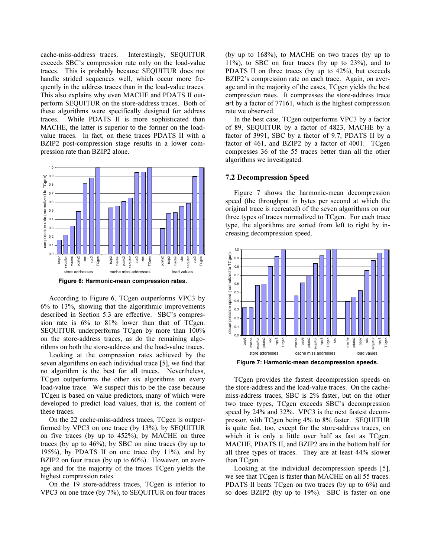cache-miss-address traces. Interestingly, SEQUITUR exceeds SBC's compression rate only on the load-value traces. This is probably because SEQUITUR does not handle strided sequences well, which occur more frequently in the address traces than in the load-value traces. This also explains why even MACHE and PDATS II outperform SEQUITUR on the store-address traces. Both of these algorithms were specifically designed for address traces. While PDATS II is more sophisticated than MACHE, the latter is superior to the former on the loadvalue traces. In fact, on these traces PDATS II with a BZIP2 post-compression stage results in a lower compression rate than BZIP2 alone.



Figure 6: Harmonic-mean compression rates.

According to Figure 6, TCgen outperforms VPC3 by 6% to 13%, showing that the algorithmic improvements described in Section 5.3 are effective. SBC's compression rate is 6% to 81% lower than that of TCgen. SEQUITUR underperforms TCgen by more than 100% on the store-address traces, as do the remaining algorithms on both the store-address and the load-value traces.

Looking at the compression rates achieved by the seven algorithms on each individual trace [5], we find that no algorithm is the best for all traces. Nevertheless, TCgen outperforms the other six algorithms on every load-value trace. We suspect this to be the case because TCgen is based on value predictors, many of which were developed to predict load values, that is, the content of these traces.

On the 22 cache-miss-address traces, TCgen is outperformed by VPC3 on one trace (by 13%), by SEQUITUR on five traces (by up to 452%), by MACHE on three traces (by up to 46%), by SBC on nine traces (by up to 195%), by PDATS II on one trace (by 11%), and by BZIP2 on four traces (by up to 60%). However, on average and for the majority of the traces TCgen yields the highest compression rates.

On the 19 store-address traces, TCgen is inferior to VPC3 on one trace (by 7%), to SEQUITUR on four traces (by up to 168%), to MACHE on two traces (by up to  $11\%$ ), to SBC on four traces (by up to 23%), and to PDATS II on three traces (by up to 42%), but exceeds BZIP2's compression rate on each trace. Again, on average and in the majority of the cases, TCgen yields the best compression rates. It compresses the store-address trace art by a factor of 77161, which is the highest compression rate we observed.

In the best case, TCgen outperforms VPC3 by a factor of 89, SEQUITUR by a factor of 4823, MACHE by a factor of 3991, SBC by a factor of 9.7, PDATS II by a factor of 461, and BZIP2 by a factor of 4001. TCgen compresses 36 of the 55 traces better than all the other algorithms we investigated.

#### 7.2 Decompression Speed

Figure 7 shows the harmonic-mean decompression speed (the throughput in bytes per second at which the original trace is recreated) of the seven algorithms on our three types of traces normalized to TCgen. For each trace type, the algorithms are sorted from left to right by increasing decompression speed.



Figure 7: Harmonic-mean decompression speeds.

TCgen provides the fastest decompression speeds on the store-address and the load-value traces. On the cachemiss-address traces, SBC is 2% faster, but on the other two trace types, TCgen exceeds SBC's decompression speed by 24% and 32%. VPC3 is the next fastest decompressor, with TCgen being 4% to 8% faster. SEQUITUR is quite fast, too, except for the store-address traces, on which it is only a little over half as fast as TCgen. MACHE, PDATS II, and BZIP2 are in the bottom half for all three types of traces. They are at least 44% slower than TCgen.

Looking at the individual decompression speeds [5], we see that TCgen is faster than MACHE on all 55 traces. PDATS II beats TCgen on two traces (by up to 6%) and so does BZIP2 (by up to 19%). SBC is faster on one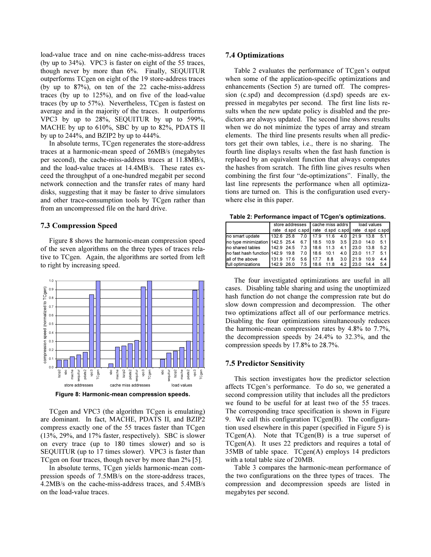load-value trace and on nine cache-miss-address traces (by up to 34%). VPC3 is faster on eight of the 55 traces, though never by more than 6%. Finally, SEQUITUR outperforms TCgen on eight of the 19 store-address traces (by up to 87%), on ten of the 22 cache-miss-address traces (by up to 125%), and on five of the load-value traces (by up to 57%). Nevertheless, TCgen is fastest on average and in the majority of the traces. It outperforms VPC3 by up to 28%, SEQUITUR by up to 599%, MACHE by up to 610%, SBC by up to 82%, PDATS II by up to 244%, and BZIP2 by up to 444%.

In absolute terms, TCgen regenerates the store-address traces at a harmonic-mean speed of 26MB/s (megabytes per second), the cache-miss-address traces at 11.8MB/s, and the load-value traces at 14.4MB/s. These rates exceed the throughput of a one-hundred megabit per second network connection and the transfer rates of many hard disks, suggesting that it may be faster to drive simulators and other trace-consumption tools by TCgen rather than from an uncompressed file on the hard drive.

## 7.3 Compression Speed

Figure 8 shows the harmonic-mean compression speed of the seven algorithms on the three types of traces relative to TCgen. Again, the algorithms are sorted from left to right by increasing speed.



Figure 8: Harmonic-mean compression speeds.

TCgen and VPC3 (the algorithm TCgen is emulating) are dominant. In fact, MACHE, PDATS II, and BZIP2 compress exactly one of the 55 traces faster than TCgen (13%, 29%, and 17% faster, respectively). SBC is slower on every trace (up to 180 times slower) and so is SEQUITUR (up to 17 times slower). VPC3 is faster than TCgen on four traces, though never by more than 2% [5].

In absolute terms, TCgen yields harmonic-mean compression speeds of 7.5MB/s on the store-address traces, 4.2MB/s on the cache-miss-address traces, and 5.4MB/s on the load-value traces.

#### 7.4 Optimizations

Table 2 evaluates the performance of TCgen's output when some of the application-specific optimizations and enhancements (Section 5) are turned off. The compression (c.spd) and decompression (d.spd) speeds are expressed in megabytes per second. The first line lists results when the new update policy is disabled and the predictors are always updated. The second line shows results when we do not minimize the types of array and stream elements. The third line presents results when all predictors get their own tables, i.e., there is no sharing. The fourth line displays results when the fast hash function is replaced by an equivalent function that always computes the hashes from scratch. The fifth line gives results when combining the first four "de-optimizations". Finally, the last line represents the performance when all optimizations are turned on. This is the configuration used everywhere else in this paper.

Table 2: Performance impact of TCgen's optimizations.

|                                                             |            |  |         | store addresses cache miss addrs load values |                                                    |  |  |               |     |
|-------------------------------------------------------------|------------|--|---------|----------------------------------------------|----------------------------------------------------|--|--|---------------|-----|
|                                                             |            |  |         |                                              | rate d.spd c.spd rate d.spd c.spd rate d.spd c.spd |  |  |               |     |
| no smart update                                             |            |  |         |                                              | 132.6 25.8 7.0 17.9 11.6 4.0 21.9 13.8 5.1         |  |  |               |     |
| no type minimization 142.5 25.4 6.7 18.5 10.9 3.5 23.0 14.0 |            |  |         |                                              |                                                    |  |  |               | 5.1 |
| no shared tables                                            |            |  |         |                                              | 142.9 24.5 7.3 18.6 11.3 4.1 23.0 13.8             |  |  |               | 5.2 |
| no fast hash function 142.9 19.8 7.0 18.6 10.1              |            |  |         |                                              |                                                    |  |  | 4.0 23.0 11.7 | 5.1 |
| all of the above                                            | 131.9 17.6 |  |         |                                              | 5.6 17.7 8.8 3.0 21.9                              |  |  | 10.9          | 4.4 |
| full optimizations                                          | 142.9 26.0 |  | $7.5$ I |                                              | 18.6 11.8 4.2 23.0 14.4                            |  |  |               | 5.4 |

The four investigated optimizations are useful in all cases. Disabling table sharing and using the unoptimized hash function do not change the compression rate but do slow down compression and decompression. The other two optimizations affect all of our performance metrics. Disabling the four optimizations simultaneously reduces the harmonic-mean compression rates by 4.8% to 7.7%, the decompression speeds by 24.4% to 32.3%, and the compression speeds by 17.8% to 28.7%.

#### 7.5 Predictor Sensitivity

This section investigates how the predictor selection affects TCgen's performance. To do so, we generated a second compression utility that includes all the predictors we found to be useful for at least two of the 55 traces. The corresponding trace specification is shown in Figure 9. We call this configuration TCgen(B). The configuration used elsewhere in this paper (specified in Figure 5) is TCgen(A). Note that TCgen(B) is a true superset of TCgen(A). It uses 22 predictors and requires a total of 35MB of table space. TCgen(A) employs 14 predictors with a total table size of 20MB.

Table 3 compares the harmonic-mean performance of the two configurations on the three types of traces. The compression and decompression speeds are listed in megabytes per second.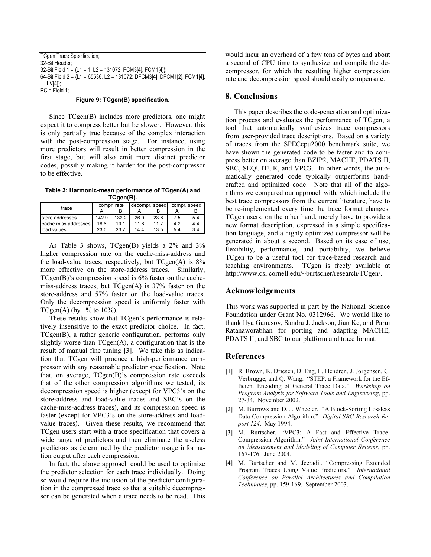| TCgen Trace Specification;                                              |
|-------------------------------------------------------------------------|
| 32-Bit Header:                                                          |
| 32-Bit Field 1 = {L1 = 1, L2 = 131072: FCM3[4], FCM1[4]};               |
| 64-Bit Field 2 = {L1 = 65536, L2 = 131072: DFCM3[4], DFCM1[2], FCM1[4], |
| $LVI41$ :                                                               |
| $PC = Field 1$ :                                                        |

Figure 9: TCgen(B) specification.

Since TCgen(B) includes more predictors, one might expect it to compress better but be slower. However, this is only partially true because of the complex interaction with the post-compression stage. For instance, using more predictors will result in better compression in the first stage, but will also emit more distinct predictor codes, possibly making it harder for the post-compressor to be effective.

Table 3: Harmonic-mean performance of TCgen(A) and TCgen(B).

| trace                | compr. rate |       | decompr. speed compr. speed |      |     |     |  |  |
|----------------------|-------------|-------|-----------------------------|------|-----|-----|--|--|
|                      |             |       |                             |      |     |     |  |  |
| store addresses      | 142.9       | 132.2 | 26.0                        | 23.6 | 7.5 | 5.4 |  |  |
| cache miss addresses | 18.6        | 19.1  | 118                         | 117  | 4.2 | 4.4 |  |  |
| load values          | 23.0        | 23.7  | 14.4                        | 13.5 | 5.4 | 3.4 |  |  |

As Table 3 shows, TCgen(B) yields a 2% and 3% higher compression rate on the cache-miss-address and the load-value traces, respectively, but  $TCgen(A)$  is 8% more effective on the store-address traces. Similarly, TCgen(B)'s compression speed is 6% faster on the cachemiss-address traces, but TCgen(A) is 37% faster on the store-address and 57% faster on the load-value traces. Only the decompression speed is uniformly faster with TCgen(A) (by  $1\%$  to  $10\%$ ).

These results show that TCgen's performance is relatively insensitive to the exact predictor choice. In fact, TCgen(B), a rather generic configuration, performs only slightly worse than TCgen(A), a configuration that is the result of manual fine tuning [3]. We take this as indication that TCgen will produce a high-performance compressor with any reasonable predictor specification. Note that, on average, TCgen(B)'s compression rate exceeds that of the other compression algorithms we tested, its decompression speed is higher (except for VPC3's on the store-address and load-value traces and SBC's on the cache-miss-address traces), and its compression speed is faster (except for VPC3's on the store-address and loadvalue traces). Given these results, we recommend that TCgen users start with a trace specification that covers a wide range of predictors and then eliminate the useless predictors as determined by the predictor usage information output after each compression.

In fact, the above approach could be used to optimize the predictor selection for each trace individually. Doing so would require the inclusion of the predictor configuration in the compressed trace so that a suitable decompressor can be generated when a trace needs to be read. This would incur an overhead of a few tens of bytes and about a second of CPU time to synthesize and compile the decompressor, for which the resulting higher compression rate and decompression speed should easily compensate.

## 8. Conclusions

This paper describes the code-generation and optimization process and evaluates the performance of TCgen, a tool that automatically synthesizes trace compressors from user-provided trace descriptions. Based on a variety of traces from the SPECcpu2000 benchmark suite, we have shown the generated code to be faster and to compress better on average than BZIP2, MACHE, PDATS II, SBC, SEQUITUR, and VPC3. In other words, the automatically generated code typically outperforms handcrafted and optimized code. Note that all of the algorithms we compared our approach with, which include the best trace compressors from the current literature, have to be re-implemented every time the trace format changes. TCgen users, on the other hand, merely have to provide a new format description, expressed in a simple specification language, and a highly optimized compressor will be generated in about a second. Based on its ease of use, flexibility, performance, and portability, we believe TCgen to be a useful tool for trace-based research and teaching environments. TCgen is freely available at http://www.csl.cornell.edu/~burtscher/research/TCgen/.

#### Acknowledgements

This work was supported in part by the National Science Foundation under Grant No. 0312966. We would like to thank Ilya Ganusov, Sandra J. Jackson, Jian Ke, and Paruj Ratanaworabhan for porting and adapting MACHE, PDATS II, and SBC to our platform and trace format.

## References

- [1] R. Brown, K. Driesen, D. Eng, L. Hendren, J. Jorgensen, C. Verbrugge, and Q. Wang. "STEP: a Framework for the Efficient Encoding of General Trace Data." Workshop on Program Analysis for Software Tools and Engineering, pp. 27-34. November 2002.
- [2] M. Burrows and D. J. Wheeler. "A Block-Sorting Lossless Data Compression Algorithm." Digital SRC Research Report 124. May 1994.
- [3] M. Burtscher. "VPC3: A Fast and Effective Trace-Compression Algorithm." Joint International Conference on Measurement and Modeling of Computer Systems, pp. 167-176. June 2004.
- [4] M. Burtscher and M. Jeeradit. "Compressing Extended Program Traces Using Value Predictors." International Conference on Parallel Architectures and Compilation Techniques, pp. 159-169. September 2003.